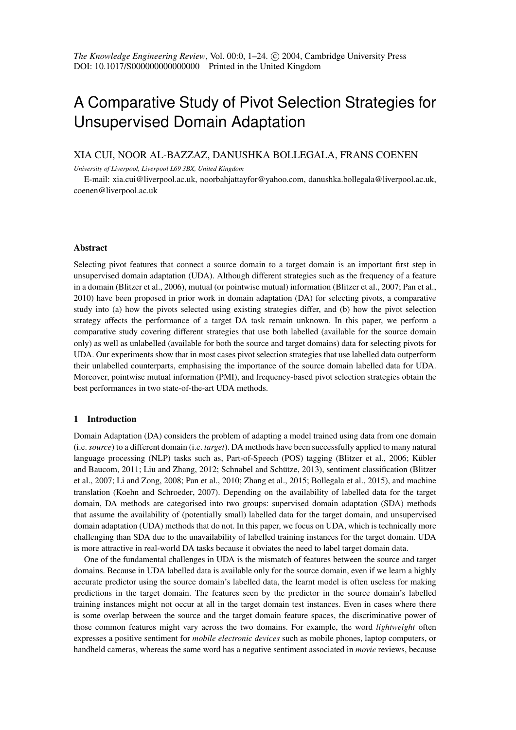# A Comparative Study of Pivot Selection Strategies for Unsupervised Domain Adaptation

# XIA CUI, NOOR AL-BAZZAZ, DANUSHKA BOLLEGALA, FRANS COENEN

*University of Liverpool, Liverpool L69 3BX, United Kingdom*

E-mail: xia.cui@liverpool.ac.uk, noorbahjattayfor@yahoo.com, danushka.bollegala@liverpool.ac.uk, coenen@liverpool.ac.uk

# Abstract

Selecting pivot features that connect a source domain to a target domain is an important first step in unsupervised domain adaptation (UDA). Although different strategies such as the frequency of a feature in a domain (Blitzer et al., 2006), mutual (or pointwise mutual) information (Blitzer et al., 2007; Pan et al., 2010) have been proposed in prior work in domain adaptation (DA) for selecting pivots, a comparative study into (a) how the pivots selected using existing strategies differ, and (b) how the pivot selection strategy affects the performance of a target DA task remain unknown. In this paper, we perform a comparative study covering different strategies that use both labelled (available for the source domain only) as well as unlabelled (available for both the source and target domains) data for selecting pivots for UDA. Our experiments show that in most cases pivot selection strategies that use labelled data outperform their unlabelled counterparts, emphasising the importance of the source domain labelled data for UDA. Moreover, pointwise mutual information (PMI), and frequency-based pivot selection strategies obtain the best performances in two state-of-the-art UDA methods.

#### 1 Introduction

Domain Adaptation (DA) considers the problem of adapting a model trained using data from one domain (i.e. *source*) to a different domain (i.e. *target*). DA methods have been successfully applied to many natural language processing (NLP) tasks such as, Part-of-Speech (POS) tagging (Blitzer et al., 2006; Kübler and Baucom, 2011; Liu and Zhang, 2012; Schnabel and Schütze, 2013), sentiment classification (Blitzer et al., 2007; Li and Zong, 2008; Pan et al., 2010; Zhang et al., 2015; Bollegala et al., 2015), and machine translation (Koehn and Schroeder, 2007). Depending on the availability of labelled data for the target domain, DA methods are categorised into two groups: supervised domain adaptation (SDA) methods that assume the availability of (potentially small) labelled data for the target domain, and unsupervised domain adaptation (UDA) methods that do not. In this paper, we focus on UDA, which is technically more challenging than SDA due to the unavailability of labelled training instances for the target domain. UDA is more attractive in real-world DA tasks because it obviates the need to label target domain data.

One of the fundamental challenges in UDA is the mismatch of features between the source and target domains. Because in UDA labelled data is available only for the source domain, even if we learn a highly accurate predictor using the source domain's labelled data, the learnt model is often useless for making predictions in the target domain. The features seen by the predictor in the source domain's labelled training instances might not occur at all in the target domain test instances. Even in cases where there is some overlap between the source and the target domain feature spaces, the discriminative power of those common features might vary across the two domains. For example, the word *lightweight* often expresses a positive sentiment for *mobile electronic devices* such as mobile phones, laptop computers, or handheld cameras, whereas the same word has a negative sentiment associated in *movie* reviews, because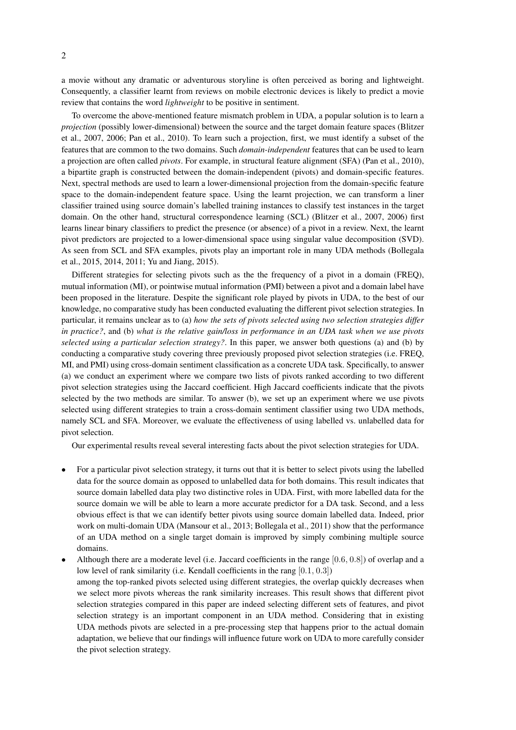a movie without any dramatic or adventurous storyline is often perceived as boring and lightweight. Consequently, a classifier learnt from reviews on mobile electronic devices is likely to predict a movie review that contains the word *lightweight* to be positive in sentiment.

To overcome the above-mentioned feature mismatch problem in UDA, a popular solution is to learn a *projection* (possibly lower-dimensional) between the source and the target domain feature spaces (Blitzer et al., 2007, 2006; Pan et al., 2010). To learn such a projection, first, we must identify a subset of the features that are common to the two domains. Such *domain-independent* features that can be used to learn a projection are often called *pivots*. For example, in structural feature alignment (SFA) (Pan et al., 2010), a bipartite graph is constructed between the domain-independent (pivots) and domain-specific features. Next, spectral methods are used to learn a lower-dimensional projection from the domain-specific feature space to the domain-independent feature space. Using the learnt projection, we can transform a liner classifier trained using source domain's labelled training instances to classify test instances in the target domain. On the other hand, structural correspondence learning (SCL) (Blitzer et al., 2007, 2006) first learns linear binary classifiers to predict the presence (or absence) of a pivot in a review. Next, the learnt pivot predictors are projected to a lower-dimensional space using singular value decomposition (SVD). As seen from SCL and SFA examples, pivots play an important role in many UDA methods (Bollegala et al., 2015, 2014, 2011; Yu and Jiang, 2015).

Different strategies for selecting pivots such as the the frequency of a pivot in a domain (FREQ), mutual information (MI), or pointwise mutual information (PMI) between a pivot and a domain label have been proposed in the literature. Despite the significant role played by pivots in UDA, to the best of our knowledge, no comparative study has been conducted evaluating the different pivot selection strategies. In particular, it remains unclear as to (a) *how the sets of pivots selected using two selection strategies differ in practice?*, and (b) *what is the relative gain/loss in performance in an UDA task when we use pivots selected using a particular selection strategy?*. In this paper, we answer both questions (a) and (b) by conducting a comparative study covering three previously proposed pivot selection strategies (i.e. FREQ, MI, and PMI) using cross-domain sentiment classification as a concrete UDA task. Specifically, to answer (a) we conduct an experiment where we compare two lists of pivots ranked according to two different pivot selection strategies using the Jaccard coefficient. High Jaccard coefficients indicate that the pivots selected by the two methods are similar. To answer (b), we set up an experiment where we use pivots selected using different strategies to train a cross-domain sentiment classifier using two UDA methods, namely SCL and SFA. Moreover, we evaluate the effectiveness of using labelled vs. unlabelled data for pivot selection.

Our experimental results reveal several interesting facts about the pivot selection strategies for UDA.

- For a particular pivot selection strategy, it turns out that it is better to select pivots using the labelled data for the source domain as opposed to unlabelled data for both domains. This result indicates that source domain labelled data play two distinctive roles in UDA. First, with more labelled data for the source domain we will be able to learn a more accurate predictor for a DA task. Second, and a less obvious effect is that we can identify better pivots using source domain labelled data. Indeed, prior work on multi-domain UDA (Mansour et al., 2013; Bollegala et al., 2011) show that the performance of an UDA method on a single target domain is improved by simply combining multiple source domains.
- Although there are a moderate level (i.e. Jaccard coefficients in the range [0.6, 0.8]) of overlap and a low level of rank similarity (i.e. Kendall coefficients in the rang [0.1, 0.3]) among the top-ranked pivots selected using different strategies, the overlap quickly decreases when we select more pivots whereas the rank similarity increases. This result shows that different pivot selection strategies compared in this paper are indeed selecting different sets of features, and pivot selection strategy is an important component in an UDA method. Considering that in existing UDA methods pivots are selected in a pre-processing step that happens prior to the actual domain adaptation, we believe that our findings will influence future work on UDA to more carefully consider the pivot selection strategy.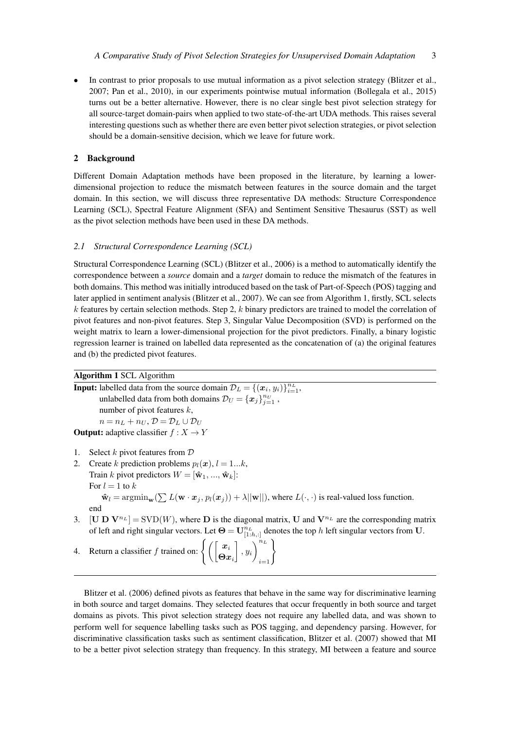• In contrast to prior proposals to use mutual information as a pivot selection strategy (Blitzer et al., 2007; Pan et al., 2010), in our experiments pointwise mutual information (Bollegala et al., 2015) turns out be a better alternative. However, there is no clear single best pivot selection strategy for all source-target domain-pairs when applied to two state-of-the-art UDA methods. This raises several interesting questions such as whether there are even better pivot selection strategies, or pivot selection should be a domain-sensitive decision, which we leave for future work.

# 2 Background

Different Domain Adaptation methods have been proposed in the literature, by learning a lowerdimensional projection to reduce the mismatch between features in the source domain and the target domain. In this section, we will discuss three representative DA methods: Structure Correspondence Learning (SCL), Spectral Feature Alignment (SFA) and Sentiment Sensitive Thesaurus (SST) as well as the pivot selection methods have been used in these DA methods.

# *2.1 Structural Correspondence Learning (SCL)*

Structural Correspondence Learning (SCL) (Blitzer et al., 2006) is a method to automatically identify the correspondence between a *source* domain and a *target* domain to reduce the mismatch of the features in both domains. This method was initially introduced based on the task of Part-of-Speech (POS) tagging and later applied in sentiment analysis (Blitzer et al., 2007). We can see from Algorithm 1, firstly, SCL selects  $k$  features by certain selection methods. Step 2, k binary predictors are trained to model the correlation of pivot features and non-pivot features. Step 3, Singular Value Decomposition (SVD) is performed on the weight matrix to learn a lower-dimensional projection for the pivot predictors. Finally, a binary logistic regression learner is trained on labelled data represented as the concatenation of (a) the original features and (b) the predicted pivot features.

# Algorithm 1 SCL Algorithm

**Input:** labelled data from the source domain  $\mathcal{D}_L = \{(\boldsymbol{x}_i, y_i)\}_{i=1}^{n_L}$ , unlabelled data from both domains  $\mathcal{D}_U = {\mathbf{x}_j}_{j=1}^{n_U}$ , number of pivot features  $k$ ,  $n = n_L + n_U, \mathcal{D} = \mathcal{D}_L \cup \mathcal{D}_U$ **Output:** adaptive classifier  $f : X \to Y$ 

- 1. Select  $k$  pivot features from  $D$
- 2. Create k prediction problems  $p_l(\mathbf{x})$ ,  $l = 1...k$ , Train k pivot predictors  $W = [\hat{\mathbf{w}}_1, ..., \hat{\mathbf{w}}_k]$ : For  $l = 1$  to  $k$  $\mathbf{\hat{w}}_l = \mathop{\rm argmin}\limits_{\mathbf{w}} (\sum L(\mathbf{w} \cdot \mathbf{x}_j, p_l(\mathbf{x}_j)) + \lambda ||\mathbf{w}||),$  where  $L(\cdot, \cdot)$  is real-valued loss function. end
- 3.  $[\mathbf{U} \mathbf{D} \mathbf{V}^{n_L}]$  = SVD(W), where **D** is the diagonal matrix, **U** and  $\mathbf{V}^{n_L}$  are the corresponding matrix of left and right singular vectors. Let  $\Theta = \mathbf{U}^{n_L}_{[1:h,:]}$  denotes the top h left singular vectors from U.

4. Return a classifier *f* trained on: 
$$
\left\{ \left( \begin{bmatrix} x_i \\ \Theta x_i \end{bmatrix}, y_i \right)_{i=1}^{n_L} \right\}
$$

Blitzer et al. (2006) defined pivots as features that behave in the same way for discriminative learning in both source and target domains. They selected features that occur frequently in both source and target domains as pivots. This pivot selection strategy does not require any labelled data, and was shown to perform well for sequence labelling tasks such as POS tagging, and dependency parsing. However, for discriminative classification tasks such as sentiment classification, Blitzer et al. (2007) showed that MI to be a better pivot selection strategy than frequency. In this strategy, MI between a feature and source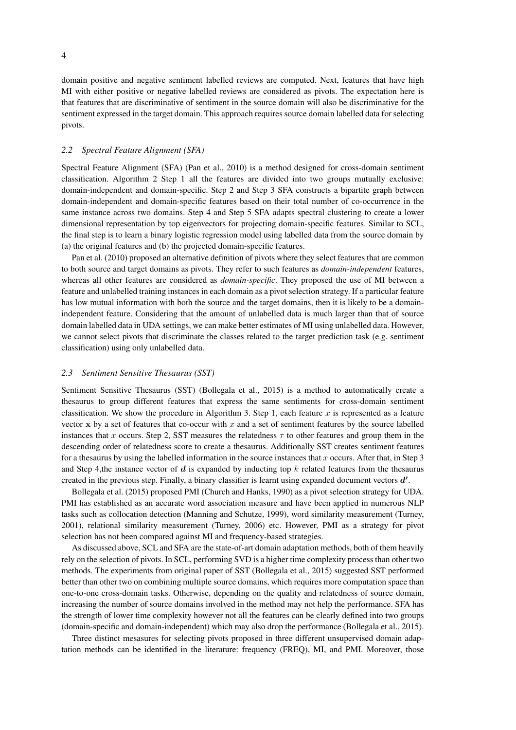domain positive and negative sentiment labelled reviews are computed. Next, features that have high MI with either positive or negative labelled reviews are considered as pivots. The expectation here is that features that are discriminative of sentiment in the source domain will also be discriminative for the sentiment expressed in the target domain. This approach requires source domain labelled data for selecting pivots.

#### *2.2 Spectral Feature Alignment (SFA)*

Spectral Feature Alignment (SFA) (Pan et al., 2010) is a method designed for cross-domain sentiment classification. Algorithm 2 Step 1 all the features are divided into two groups mutually exclusive: domain-independent and domain-specific. Step 2 and Step 3 SFA constructs a bipartite graph between domain-independent and domain-specific features based on their total number of co-occurrence in the same instance across two domains. Step 4 and Step 5 SFA adapts spectral clustering to create a lower dimensional representation by top eigenvectors for projecting domain-specific features. Similar to SCL, the final step is to learn a binary logistic regression model using labelled data from the source domain by (a) the original features and (b) the projected domain-specific features.

Pan et al. (2010) proposed an alternative definition of pivots where they select features that are common to both source and target domains as pivots. They refer to such features as *domain-independent* features, whereas all other features are considered as *domain-specific*. They proposed the use of MI between a feature and unlabelled training instances in each domain as a pivot selection strategy. If a particular feature has low mutual information with both the source and the target domains, then it is likely to be a domainindependent feature. Considering that the amount of unlabelled data is much larger than that of source domain labelled data in UDA settings, we can make better estimates of MI using unlabelled data. However, we cannot select pivots that discriminate the classes related to the target prediction task (e.g. sentiment classification) using only unlabelled data.

### *2.3 Sentiment Sensitive Thesaurus (SST)*

Sentiment Sensitive Thesaurus (SST) (Bollegala et al., 2015) is a method to automatically create a thesaurus to group different features that express the same sentiments for cross-domain sentiment classification. We show the procedure in Algorithm 3. Step 1, each feature x is represented as a feature vector x by a set of features that co-occur with x and a set of sentiment features by the source labelled instances that x occurs. Step 2, SST measures the relatedness  $\tau$  to other features and group them in the descending order of relatedness score to create a thesaurus. Additionally SST creates sentiment features for a thesaurus by using the labelled information in the source instances that  $x$  occurs. After that, in Step 3 and Step 4,the instance vector of  $d$  is expanded by inducting top  $k$  related features from the thesaurus created in the previous step. Finally, a binary classifier is learnt using expanded document vectors  $d'$ .

Bollegala et al. (2015) proposed PMI (Church and Hanks, 1990) as a pivot selection strategy for UDA. PMI has established as an accurate word association measure and have been applied in numerous NLP tasks such as collocation detection (Manning and Schutze, 1999), word similarity measurement (Turney, 2001), relational similarity measurement (Turney, 2006) etc. However, PMI as a strategy for pivot selection has not been compared against MI and frequency-based strategies.

As discussed above, SCL and SFA are the state-of-art domain adaptation methods, both of them heavily rely on the selection of pivots. In SCL, performing SVD is a higher time complexity process than other two methods. The experiments from original paper of SST (Bollegala et al., 2015) suggested SST performed better than other two on combining multiple source domains, which requires more computation space than one-to-one cross-domain tasks. Otherwise, depending on the quality and relatedness of source domain, increasing the number of source domains involved in the method may not help the performance. SFA has the strength of lower time complexity however not all the features can be clearly defined into two groups (domain-specific and domain-independent) which may also drop the performance (Bollegala et al., 2015).

Three distinct mesasures for selecting pivots proposed in three different unsupervised domain adaptation methods can be identified in the literature: frequency (FREQ), MI, and PMI. Moreover, those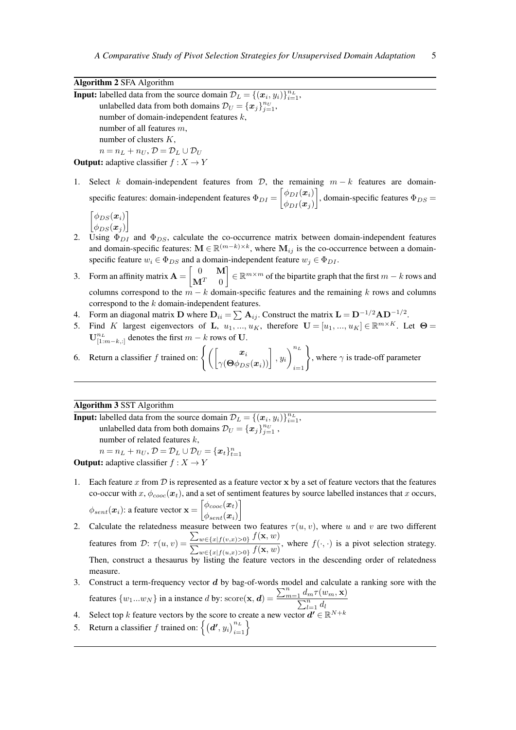# Algorithm 2 SFA Algorithm

**Input:** labelled data from the source domain  $\mathcal{D}_L = \{(\mathbf{x}_i, y_i)\}_{i=1}^{n_L}$ , unlabelled data from both domains  $\mathcal{D}_U = {\{\boldsymbol{x}_j\}}_{j=1}^{n_U}$ , number of domain-independent features k, number of all features m, number of clusters K,  $n = n_L + n_U, \mathcal{D} = \mathcal{D}_L \cup \mathcal{D}_U$ **Output:** adaptive classifier  $f : X \to Y$ 

1. Select k domain-independent features from  $\mathcal{D}$ , the remaining  $m - k$  features are domainspecific features: domain-independent features  $\Phi_{DI} = \begin{bmatrix} \phi_{DI}(x_i) \\ \phi_{DI}(x_i) \end{bmatrix}$  $\phi_{DI}(\boldsymbol{x}_j)$  $\Big]$ , domain-specific features  $\Phi_{DS} =$ 

$$
\begin{bmatrix} \phi_{DS}(\bm{x}_i) \\ \phi_{DS}(\bm{x}_j) \end{bmatrix}
$$

- 2. Using  $\Phi_{DI}$  and  $\Phi_{DS}$ , calculate the co-occurrence matrix between domain-independent features and domain-specific features:  $M \in \mathbb{R}^{(m-k)\times k}$ , where  $M_{ij}$  is the co-occurrence between a domainspecific feature  $w_i \in \Phi_{DS}$  and a domain-independent feature  $w_j \in \Phi_{DI}$ .
- 3. Form an affinity matrix  $\mathbf{A} = \begin{bmatrix} 0 & \mathbf{M} \\ \mathbf{M}^T & 0 \end{bmatrix}$  $\mathbf{M}^T = 0$  $\left[ \begin{array}{l} \in \mathbb{R}^{m \times m}$  of the bipartite graph that the first  $m - k$  rows and columns correspond to the  $m - k$  domain-specific features and the remaining k rows and columns correspond to the k domain-independent features.
- 4. Form an diagonal matrix **D** where  $D_{ii} = \sum A_{ij}$ . Construct the matrix  $L = D^{-1/2}AD^{-1/2}$ .
- 5. Find K largest eigenvectors of L,  $u_1, ..., u_K$ , therefore  $\mathbf{U} = [u_1, ..., u_K] \in \mathbb{R}^{m \times K}$ . Let  $\Theta =$  $\mathbf{U}_{[1:m-k,:]}^{n_L}$  denotes the first  $m-k$  rows of U.

6. Return a classifier f trained on: 
$$
\left\{ \left( \begin{bmatrix} x_i \\ \gamma(\Theta \phi_{DS}(x_i)) \end{bmatrix}, y_i \right)_{i=1}^{n_L} \right\}, \text{ where } \gamma \text{ is trade-off parameter}
$$

# Algorithm 3 SST Algorithm

**Input:** labelled data from the source domain  $\mathcal{D}_L = \{(\boldsymbol{x}_i, y_i)\}_{i=1}^{n_L}$ , unlabelled data from both domains  $\mathcal{D}_U = {\mathbf{x}_j}_{j=1}^{n_U}$ , number of related features k,  $n = n_L + n_U, \mathcal{D} = \mathcal{D}_L \cup \mathcal{D}_U = {\mathbf{x}_t}_{t=1}^n$ **Output:** adaptive classifier  $f : X \to Y$ 

- 1. Each feature x from  $\mathcal D$  is represented as a feature vector x by a set of feature vectors that the features co-occur with  $x, \phi_{cooc}(x_t)$ , and a set of sentiment features by source labelled instances that x occurs,  $\phi_{sent}(\boldsymbol{x}_i)$ : a feature vector  $\mathbf{x} = \begin{bmatrix} \phi_{cooc}(\boldsymbol{x}_t) \\ \phi_{t}(\boldsymbol{x}_i) \end{bmatrix}$  $\phi_{sent}({\bm{x}}_i)$ 1
- 2. Calculate the relatedness measure between two features  $\tau(u, v)$ , where u and v are two different features from  $\mathcal{D}$ :  $\tau(u, v)$  =  $\sum_{w \in \{x \mid f(v,x) > 0\}} f(\mathbf{x}, w)$  $\frac{\sum_{w \in \{x | f(u,x) > 0\}} \sum_{y \in \{x | f(u,x) > 0\}} f(\mathbf{x}, w)}{\sum_{w \in \{x | f(u,x) > 0\}} f(\mathbf{x}, w)}$ , where  $f(\cdot, \cdot)$  is a pivot selection strategy. Then, construct a thesaurus by listing the feature vectors in the descending order of relatedness measure.
- 3. Construct a term-frequency vector  $d$  by bag-of-words model and calculate a ranking sore with the features  $\{w_1...w_N\}$  in a instance d by: score $({\bf x}, {\bf d}) =$  $\sum_{m=1}^n d_m \tau(w_m, \mathbf{x})$  $\sum_{l=1}^n d_l$
- 4. Select top k feature vectors by the score to create a new vector  $d' \in \mathbb{R}^{N+k}$
- 5. Return a classifier f trained on:  $\left\{ \left(\boldsymbol{d}', y_i\right)_{i=1}^{n_L} \right\}$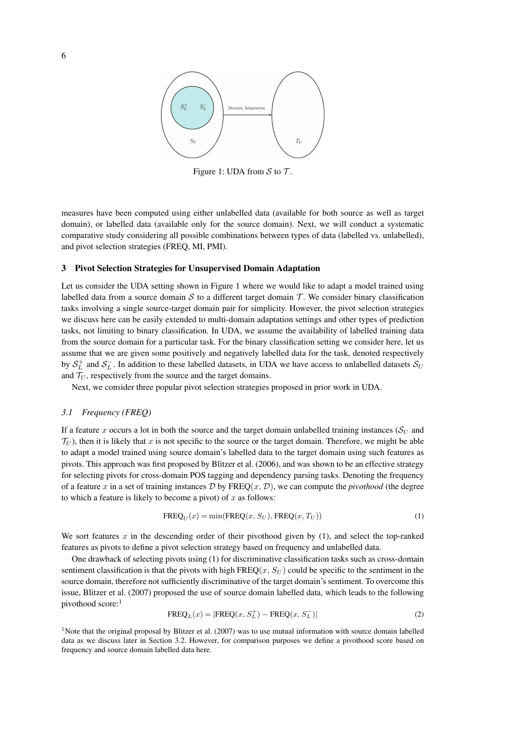

Figure 1: UDA from  $S$  to  $T$ .

measures have been computed using either unlabelled data (available for both source as well as target domain), or labelled data (available only for the source domain). Next, we will conduct a systematic comparative study considering all possible combinations between types of data (labelled vs. unlabelled), and pivot selection strategies (FREQ, MI, PMI).

# 3 Pivot Selection Strategies for Unsupervised Domain Adaptation

Let us consider the UDA setting shown in Figure 1 where we would like to adapt a model trained using labelled data from a source domain  $S$  to a different target domain  $T$ . We consider binary classification tasks involving a single source-target domain pair for simplicity. However, the pivot selection strategies we discuss here can be easily extended to multi-domain adaptation settings and other types of prediction tasks, not limiting to binary classification. In UDA, we assume the availability of labelled training data from the source domain for a particular task. For the binary classification setting we consider here, let us assume that we are given some positively and negatively labelled data for the task, denoted respectively by  $S_L^+$  and  $S_L^-$ . In addition to these labelled datasets, in UDA we have access to unlabelled datasets  $S_U$ and  $\mathcal{T}_{U}$ , respectively from the source and the target domains.

Next, we consider three popular pivot selection strategies proposed in prior work in UDA.

# *3.1 Frequency (FREQ)*

If a feature x occurs a lot in both the source and the target domain unlabelled training instances ( $S_U$  and  $\mathcal{T}_{U}$ ), then it is likely that x is not specific to the source or the target domain. Therefore, we might be able to adapt a model trained using source domain's labelled data to the target domain using such features as pivots. This approach was first proposed by Blitzer et al. (2006), and was shown to be an effective strategy for selecting pivots for cross-domain POS tagging and dependency parsing tasks. Denoting the frequency of a feature x in a set of training instances  $\mathcal D$  by  $FREG(x, \mathcal D)$ , we can compute the *pivothood* (the degree to which a feature is likely to become a pivot) of  $x$  as follows:

$$
FREQ_U(x) = \min(FREQ(x, S_U), FREQ(x, T_U))
$$
\n(1)

We sort features x in the descending order of their pivothood given by  $(1)$ , and select the top-ranked features as pivots to define a pivot selection strategy based on frequency and unlabelled data.

One drawback of selecting pivots using (1) for discriminative classification tasks such as cross-domain sentiment classification is that the pivots with high  $FREQ(x, S_U)$  could be specific to the sentiment in the source domain, therefore not sufficiently discriminative of the target domain's sentiment. To overcome this issue, Blitzer et al. (2007) proposed the use of source domain labelled data, which leads to the following pivothood score:<sup>1</sup>

$$
\text{FREQ}_L(x) = |\text{FREQ}(x, S_L^+) - \text{FREQ}(x, S_L^-)| \tag{2}
$$

<sup>1</sup>Note that the original proposal by Blitzer et al. (2007) was to use mutual information with source domain labelled data as we discuss later in Section 3.2. However, for comparison purposes we define a pivothood score based on frequency and source domain labelled data here.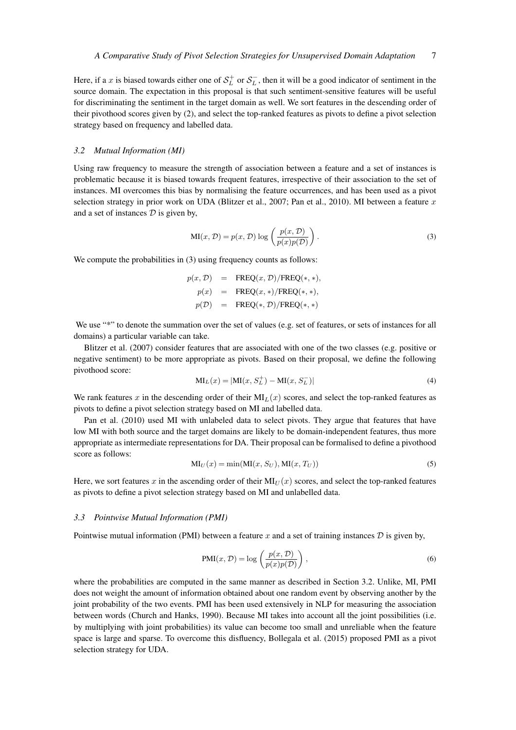Here, if a x is biased towards either one of  $S_L^+$  or  $S_L^-$ , then it will be a good indicator of sentiment in the source domain. The expectation in this proposal is that such sentiment-sensitive features will be useful for discriminating the sentiment in the target domain as well. We sort features in the descending order of their pivothood scores given by (2), and select the top-ranked features as pivots to define a pivot selection strategy based on frequency and labelled data.

## *3.2 Mutual Information (MI)*

Using raw frequency to measure the strength of association between a feature and a set of instances is problematic because it is biased towards frequent features, irrespective of their association to the set of instances. MI overcomes this bias by normalising the feature occurrences, and has been used as a pivot selection strategy in prior work on UDA (Blitzer et al., 2007; Pan et al., 2010). MI between a feature  $x$ and a set of instances  $D$  is given by,

$$
MI(x, \mathcal{D}) = p(x, \mathcal{D}) \log \left( \frac{p(x, \mathcal{D})}{p(x)p(\mathcal{D})} \right).
$$
 (3)

We compute the probabilities in (3) using frequency counts as follows:

$$
p(x, D) = \text{FREQ}(x, D)/\text{FREQ}(*, *)
$$
\n
$$
p(x) = \text{FREQ}(x, *)/\text{FREQ}(*, *)
$$
\n
$$
p(D) = \text{FREQ}(*, D)/\text{FREQ}(*, *)
$$

We use "\*" to denote the summation over the set of values (e.g. set of features, or sets of instances for all domains) a particular variable can take.

Blitzer et al. (2007) consider features that are associated with one of the two classes (e.g. positive or negative sentiment) to be more appropriate as pivots. Based on their proposal, we define the following pivothood score:

$$
MI_L(x) = |MI(x, S_L^+) - MI(x, S_L^-)|
$$
\n(4)

We rank features x in the descending order of their  $\text{MI}_L(x)$  scores, and select the top-ranked features as pivots to define a pivot selection strategy based on MI and labelled data.

Pan et al. (2010) used MI with unlabeled data to select pivots. They argue that features that have low MI with both source and the target domains are likely to be domain-independent features, thus more appropriate as intermediate representations for DA. Their proposal can be formalised to define a pivothood score as follows:

$$
MI_U(x) = min(MI(x, S_U), MI(x, T_U))
$$
\n(5)

Here, we sort features x in the ascending order of their  $MI_U(x)$  scores, and select the top-ranked features as pivots to define a pivot selection strategy based on MI and unlabelled data.

# *3.3 Pointwise Mutual Information (PMI)*

Pointwise mutual information (PMI) between a feature x and a set of training instances  $D$  is given by,

$$
PMI(x, \mathcal{D}) = \log\left(\frac{p(x, \mathcal{D})}{p(x)p(\mathcal{D})}\right),\tag{6}
$$

where the probabilities are computed in the same manner as described in Section 3.2. Unlike, MI, PMI does not weight the amount of information obtained about one random event by observing another by the joint probability of the two events. PMI has been used extensively in NLP for measuring the association between words (Church and Hanks, 1990). Because MI takes into account all the joint possibilities (i.e. by multiplying with joint probabilities) its value can become too small and unreliable when the feature space is large and sparse. To overcome this disfluency, Bollegala et al. (2015) proposed PMI as a pivot selection strategy for UDA.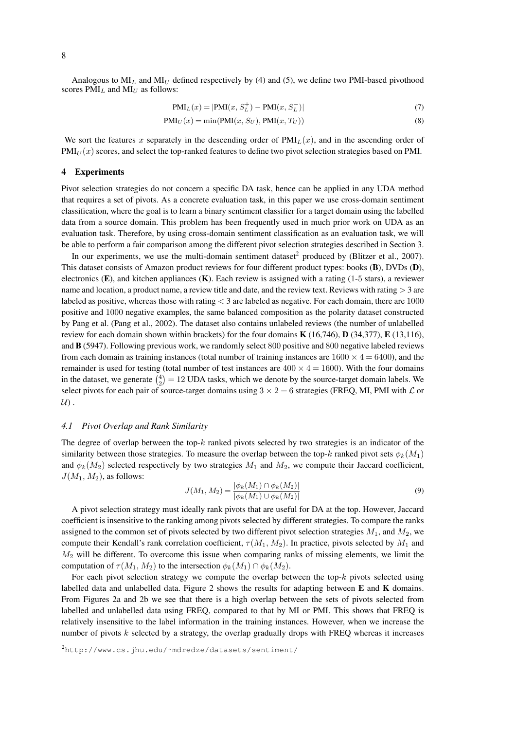Analogous to  $MI_L$  and  $MI_U$  defined respectively by (4) and (5), we define two PMI-based pivothood scores  $PMI_L$  and  $MI_U$  as follows:

$$
PMI_L(x) = |PMI(x, S_L^+) - PMI(x, S_L^-)|
$$
\n
$$
(7)
$$

$$
PMI_U(x) = min(PMI(x, S_U), PMI(x, T_U))
$$
\n(8)

We sort the features x separately in the descending order of  $PMI<sub>L</sub>(x)$ , and in the ascending order of  $PMI_U(x)$  scores, and select the top-ranked features to define two pivot selection strategies based on PMI.

## 4 Experiments

Pivot selection strategies do not concern a specific DA task, hence can be applied in any UDA method that requires a set of pivots. As a concrete evaluation task, in this paper we use cross-domain sentiment classification, where the goal is to learn a binary sentiment classifier for a target domain using the labelled data from a source domain. This problem has been frequently used in much prior work on UDA as an evaluation task. Therefore, by using cross-domain sentiment classification as an evaluation task, we will be able to perform a fair comparison among the different pivot selection strategies described in Section 3.

In our experiments, we use the multi-domain sentiment dataset<sup>2</sup> produced by (Blitzer et al., 2007). This dataset consists of Amazon product reviews for four different product types: books (B), DVDs (D), electronics  $(E)$ , and kitchen appliances  $(K)$ . Each review is assigned with a rating (1-5 stars), a reviewer name and location, a product name, a review title and date, and the review text. Reviews with rating  $>$  3 are labeled as positive, whereas those with rating < 3 are labeled as negative. For each domain, there are 1000 positive and 1000 negative examples, the same balanced composition as the polarity dataset constructed by Pang et al. (Pang et al., 2002). The dataset also contains unlabeled reviews (the number of unlabelled review for each domain shown within brackets) for the four domains K (16,746), D (34,377), E (13,116), and B (5947). Following previous work, we randomly select 800 positive and 800 negative labeled reviews from each domain as training instances (total number of training instances are  $1600 \times 4 = 6400$ ), and the remainder is used for testing (total number of test instances are  $400 \times 4 = 1600$ ). With the four domains in the dataset, we generate  $\binom{4}{2} = 12$  UDA tasks, which we denote by the source-target domain labels. We select pivots for each pair of source-target domains using  $3 \times 2 = 6$  strategies (FREQ, MI, PMI with  $\mathcal L$  or  $U$ ).

# *4.1 Pivot Overlap and Rank Similarity*

The degree of overlap between the top- $k$  ranked pivots selected by two strategies is an indicator of the similarity between those strategies. To measure the overlap between the top-k ranked pivot sets  $\phi_k(M_1)$ and  $\phi_k(M_2)$  selected respectively by two strategies  $M_1$  and  $M_2$ , we compute their Jaccard coefficient,  $J(M_1, M_2)$ , as follows:

$$
J(M_1, M_2) = \frac{|\phi_k(M_1) \cap \phi_k(M_2)|}{|\phi_k(M_1) \cup \phi_k(M_2)|}
$$
\n(9)

A pivot selection strategy must ideally rank pivots that are useful for DA at the top. However, Jaccard coefficient is insensitive to the ranking among pivots selected by different strategies. To compare the ranks assigned to the common set of pivots selected by two different pivot selection strategies  $M_1$ , and  $M_2$ , we compute their Kendall's rank correlation coefficient,  $\tau(M_1, M_2)$ . In practice, pivots selected by  $M_1$  and  $M<sub>2</sub>$  will be different. To overcome this issue when comparing ranks of missing elements, we limit the computation of  $\tau(M_1, M_2)$  to the intersection  $\phi_k(M_1) \cap \phi_k(M_2)$ .

For each pivot selection strategy we compute the overlap between the top- $k$  pivots selected using labelled data and unlabelled data. Figure 2 shows the results for adapting between  $\bf{E}$  and  $\bf{K}$  domains. From Figures 2a and 2b we see that there is a high overlap between the sets of pivots selected from labelled and unlabelled data using FREQ, compared to that by MI or PMI. This shows that FREQ is relatively insensitive to the label information in the training instances. However, when we increase the number of pivots k selected by a strategy, the overlap gradually drops with FREQ whereas it increases

<sup>2</sup>http://www.cs.jhu.edu/˜mdredze/datasets/sentiment/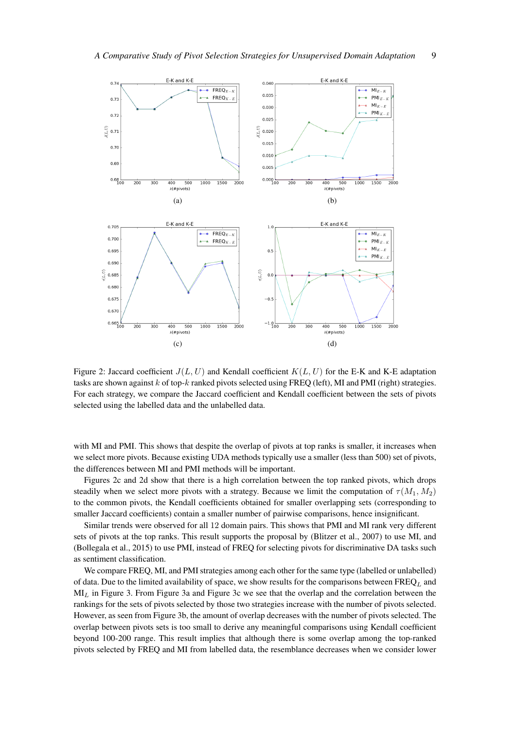

Figure 2: Jaccard coefficient  $J(L, U)$  and Kendall coefficient  $K(L, U)$  for the E-K and K-E adaptation tasks are shown against  $k$  of top- $k$  ranked pivots selected using FREQ (left), MI and PMI (right) strategies. For each strategy, we compare the Jaccard coefficient and Kendall coefficient between the sets of pivots selected using the labelled data and the unlabelled data.

with MI and PMI. This shows that despite the overlap of pivots at top ranks is smaller, it increases when we select more pivots. Because existing UDA methods typically use a smaller (less than 500) set of pivots, the differences between MI and PMI methods will be important.

Figures 2c and 2d show that there is a high correlation between the top ranked pivots, which drops steadily when we select more pivots with a strategy. Because we limit the computation of  $\tau(M_1, M_2)$ to the common pivots, the Kendall coefficients obtained for smaller overlapping sets (corresponding to smaller Jaccard coefficients) contain a smaller number of pairwise comparisons, hence insignificant.

Similar trends were observed for all 12 domain pairs. This shows that PMI and MI rank very different sets of pivots at the top ranks. This result supports the proposal by (Blitzer et al., 2007) to use MI, and (Bollegala et al., 2015) to use PMI, instead of FREQ for selecting pivots for discriminative DA tasks such as sentiment classification.

We compare FREQ, MI, and PMI strategies among each other for the same type (labelled or unlabelled) of data. Due to the limited availability of space, we show results for the comparisons between  $\text{FREQ}_L$  and  $M_{L}$  in Figure 3. From Figure 3a and Figure 3c we see that the overlap and the correlation between the rankings for the sets of pivots selected by those two strategies increase with the number of pivots selected. However, as seen from Figure 3b, the amount of overlap decreases with the number of pivots selected. The overlap between pivots sets is too small to derive any meaningful comparisons using Kendall coefficient beyond 100-200 range. This result implies that although there is some overlap among the top-ranked pivots selected by FREQ and MI from labelled data, the resemblance decreases when we consider lower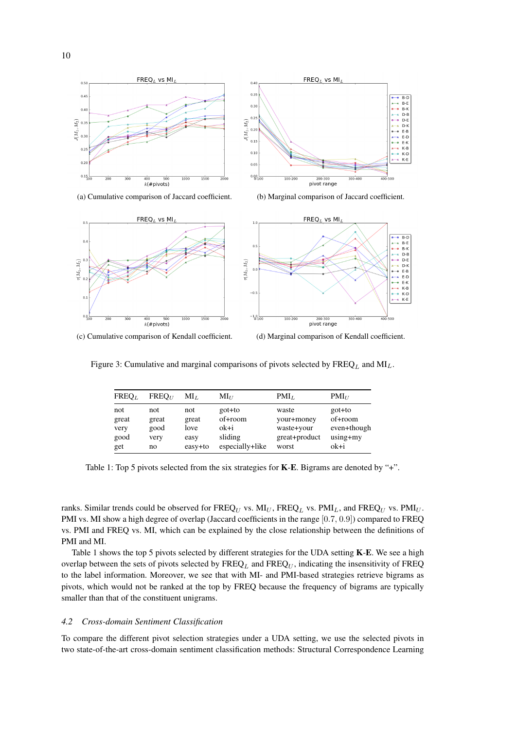

 $\mathsf{FREQ}_L$  vs MI  $0.4$  $0.25$  $0.31$  $0.2$  $D - E$  $\mathcal{J}(M_1,M_2)$  $D-I$  $0.2$  $E - E$  $_{0.1}$  $0.10$ K-C  $0.05$  $0.00 - 0.00$  $\frac{1}{100-20}$ 200-300 pivot range

(a) Cumulative comparison of Jaccard coefficient. (b) Marginal comparison of Jaccard coefficient.





(c) Cumulative comparison of Kendall coefficient. (d) Marginal comparison of Kendall coefficient.

Figure 3: Cumulative and marginal comparisons of pivots selected by  $\text{FREQ}_L$  and  $\text{MI}_L$ .

| FRED <sub>L</sub> | $FRED_U$ | MІ ғ.   | $MI_{U}$        | $PMI_L$       | $PMI_{II}$  |
|-------------------|----------|---------|-----------------|---------------|-------------|
| not               | not      | not     | got+to          | waste         | got+to      |
| great             | great    | great   | of+room         | your+money    | of+room     |
| very              | good     | love    | $ok+i$          | waste+your    | even+though |
| good              | very     | easy    | sliding         | great+product | using+my    |
| get               | no       | easy+to | especially+like | worst         | $ok+i$      |

Table 1: Top 5 pivots selected from the six strategies for **K-E**. Bigrams are denoted by "+".

ranks. Similar trends could be observed for  $FREG_U$  vs.  $MI_U$ ,  $FREG_L$  vs.  $PMI_L$ , and  $FREG_U$  vs.  $PMI_U$ . PMI vs. MI show a high degree of overlap (Jaccard coefficients in the range [0.7, 0.9]) compared to FREQ vs. PMI and FREQ vs. MI, which can be explained by the close relationship between the definitions of PMI and MI.

Table 1 shows the top 5 pivots selected by different strategies for the UDA setting K-E. We see a high overlap between the sets of pivots selected by  $FREG_L$  and  $FREG_U$ , indicating the insensitivity of  $FREG$ to the label information. Moreover, we see that with MI- and PMI-based strategies retrieve bigrams as pivots, which would not be ranked at the top by FREQ because the frequency of bigrams are typically smaller than that of the constituent unigrams.

#### *4.2 Cross-domain Sentiment Classification*

To compare the different pivot selection strategies under a UDA setting, we use the selected pivots in two state-of-the-art cross-domain sentiment classification methods: Structural Correspondence Learning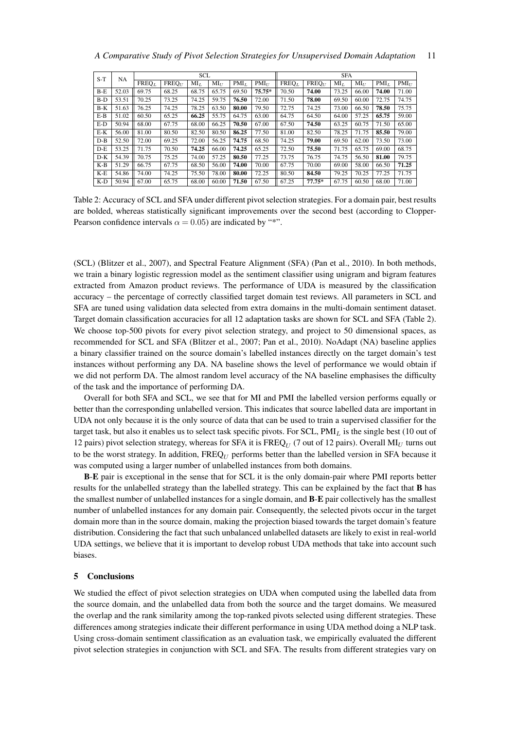### *A Comparative Study of Pivot Selection Strategies for Unsupervised Domain Adaptation* 11

| $S-T$ | NA    | <b>SCL</b>        |          |        |                    |                  | <b>SFA</b> |                   |                    |        |          |         |            |
|-------|-------|-------------------|----------|--------|--------------------|------------------|------------|-------------------|--------------------|--------|----------|---------|------------|
|       |       | FRED <sub>L</sub> | $FREQ_U$ | $MI_L$ | $\mathrm{MI}_{II}$ | PMI <sub>L</sub> | $PMI_{II}$ | FRED <sub>L</sub> | FRED <sub>II</sub> | $MI_L$ | $M_{II}$ | $PMI_L$ | $PMI_{II}$ |
| $B-E$ | 52.03 | 69.75             | 68.25    | 68.75  | 65.75              | 69.50            | $75.75*$   | 70.50             | 74.00              | 73.25  | 66.00    | 74.00   | 71.00      |
| $B-D$ | 53.51 | 70.25             | 73.25    | 74.25  | 59.75              | 76.50            | 72.00      | 71.50             | 78.00              | 69.50  | 60.00    | 72.75   | 74.75      |
| $B-K$ | 51.63 | 76.25             | 74.25    | 78.25  | 63.50              | 80.00            | 79.50      | 72.75             | 74.25              | 73.00  | 66.50    | 78.50   | 75.75      |
| $E-B$ | 51.02 | 60.50             | 65.25    | 66.25  | 55.75              | 64.75            | 63.00      | 64.75             | 64.50              | 64.00  | 57.25    | 65.75   | 59.00      |
| $E-D$ | 50.94 | 68.00             | 67.75    | 68.00  | 66.25              | 70.50            | 67.00      | 67.50             | 74.50              | 63.25  | 60.75    | 71.50   | 65.00      |
| $E-K$ | 56.00 | 81.00             | 80.50    | 82.50  | 80.50              | 86.25            | 77.50      | 81.00             | 82.50              | 78.25  | 71.75    | 85.50   | 79.00      |
| $D-B$ | 52.50 | 72.00             | 69.25    | 72.00  | 56.25              | 74.75            | 68.50      | 74.25             | 79.00              | 69.50  | 62.00    | 73.50   | 73.00      |
| $D-E$ | 53.25 | 71.75             | 70.50    | 74.25  | 66.00              | 74.25            | 65.25      | 72.50             | 75.50              | 71.75  | 65.75    | 69.00   | 68.75      |
| $D-K$ | 54.39 | 70.75             | 75.25    | 74.00  | 57.25              | 80.50            | 77.25      | 73.75             | 76.75              | 74.75  | 56.50    | 81.00   | 79.75      |
| $K-B$ | 51.29 | 66.75             | 67.75    | 68.50  | 56.00              | 74.00            | 70.00      | 67.75             | 70.00              | 69.00  | 58.00    | 66.50   | 71.25      |
| $K-E$ | 54.86 | 74.00             | 74.25    | 75.50  | 78.00              | 80.00            | 72.25      | 80.50             | 84.50              | 79.25  | 70.25    | 77.25   | 71.75      |
| $K-D$ | 50.94 | 67.00             | 65.75    | 68.00  | 60.00              | 71.50            | 67.50      | 67.25             | $77.75*$           | 67.75  | 60.50    | 68.00   | 71.00      |

Table 2: Accuracy of SCL and SFA under different pivot selection strategies. For a domain pair, best results are bolded, whereas statistically significant improvements over the second best (according to Clopper-Pearson confidence intervals  $\alpha = 0.05$ ) are indicated by "\*".

(SCL) (Blitzer et al., 2007), and Spectral Feature Alignment (SFA) (Pan et al., 2010). In both methods, we train a binary logistic regression model as the sentiment classifier using unigram and bigram features extracted from Amazon product reviews. The performance of UDA is measured by the classification accuracy – the percentage of correctly classified target domain test reviews. All parameters in SCL and SFA are tuned using validation data selected from extra domains in the multi-domain sentiment dataset. Target domain classification accuracies for all 12 adaptation tasks are shown for SCL and SFA (Table 2). We choose top-500 pivots for every pivot selection strategy, and project to 50 dimensional spaces, as recommended for SCL and SFA (Blitzer et al., 2007; Pan et al., 2010). NoAdapt (NA) baseline applies a binary classifier trained on the source domain's labelled instances directly on the target domain's test instances without performing any DA. NA baseline shows the level of performance we would obtain if we did not perform DA. The almost random level accuracy of the NA baseline emphasises the difficulty of the task and the importance of performing DA.

Overall for both SFA and SCL, we see that for MI and PMI the labelled version performs equally or better than the corresponding unlabelled version. This indicates that source labelled data are important in UDA not only because it is the only source of data that can be used to train a supervised classifier for the target task, but also it enables us to select task specific pivots. For SCL,  $PMI_L$  is the single best (10 out of 12 pairs) pivot selection strategy, whereas for SFA it is FREQ<sub>U</sub> (7 out of 12 pairs). Overall MI<sub>U</sub> turns out to be the worst strategy. In addition,  $FREQ_U$  performs better than the labelled version in SFA because it was computed using a larger number of unlabelled instances from both domains.

B-E pair is exceptional in the sense that for SCL it is the only domain-pair where PMI reports better results for the unlabelled strategy than the labelled strategy. This can be explained by the fact that B has the smallest number of unlabelled instances for a single domain, and B-E pair collectively has the smallest number of unlabelled instances for any domain pair. Consequently, the selected pivots occur in the target domain more than in the source domain, making the projection biased towards the target domain's feature distribution. Considering the fact that such unbalanced unlabelled datasets are likely to exist in real-world UDA settings, we believe that it is important to develop robust UDA methods that take into account such biases.

## 5 Conclusions

We studied the effect of pivot selection strategies on UDA when computed using the labelled data from the source domain, and the unlabelled data from both the source and the target domains. We measured the overlap and the rank similarity among the top-ranked pivots selected using different strategies. These differences among strategies indicate their different performance in using UDA method doing a NLP task. Using cross-domain sentiment classification as an evaluation task, we empirically evaluated the different pivot selection strategies in conjunction with SCL and SFA. The results from different strategies vary on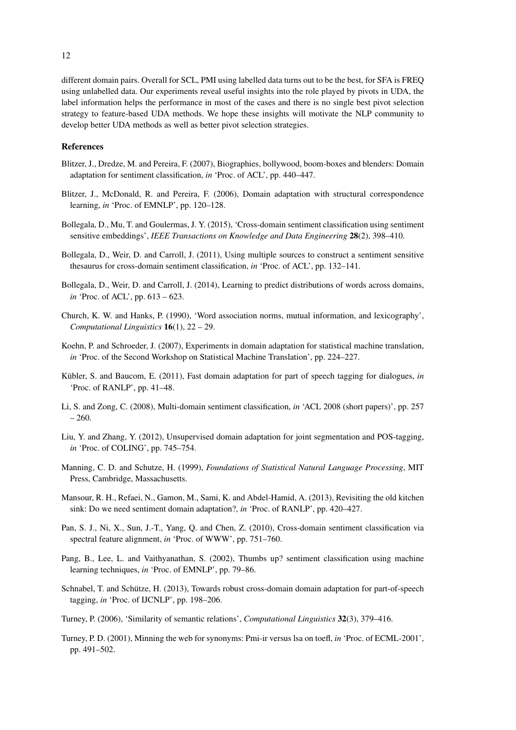different domain pairs. Overall for SCL, PMI using labelled data turns out to be the best, for SFA is FREQ using unlabelled data. Our experiments reveal useful insights into the role played by pivots in UDA, the label information helps the performance in most of the cases and there is no single best pivot selection strategy to feature-based UDA methods. We hope these insights will motivate the NLP community to develop better UDA methods as well as better pivot selection strategies.

# References

- Blitzer, J., Dredze, M. and Pereira, F. (2007), Biographies, bollywood, boom-boxes and blenders: Domain adaptation for sentiment classification, *in* 'Proc. of ACL', pp. 440–447.
- Blitzer, J., McDonald, R. and Pereira, F. (2006), Domain adaptation with structural correspondence learning, *in* 'Proc. of EMNLP', pp. 120–128.
- Bollegala, D., Mu, T. and Goulermas, J. Y. (2015), 'Cross-domain sentiment classification using sentiment sensitive embeddings', *IEEE Transactions on Knowledge and Data Engineering* 28(2), 398–410.
- Bollegala, D., Weir, D. and Carroll, J. (2011), Using multiple sources to construct a sentiment sensitive thesaurus for cross-domain sentiment classification, *in* 'Proc. of ACL', pp. 132–141.
- Bollegala, D., Weir, D. and Carroll, J. (2014), Learning to predict distributions of words across domains, *in* 'Proc. of ACL', pp. 613 – 623.
- Church, K. W. and Hanks, P. (1990), 'Word association norms, mutual information, and lexicography', *Computational Linguistics* 16(1), 22 – 29.
- Koehn, P. and Schroeder, J. (2007), Experiments in domain adaptation for statistical machine translation, *in* 'Proc. of the Second Workshop on Statistical Machine Translation', pp. 224–227.
- Kübler, S. and Baucom, E. (2011), Fast domain adaptation for part of speech tagging for dialogues, *in* 'Proc. of RANLP', pp. 41–48.
- Li, S. and Zong, C. (2008), Multi-domain sentiment classification, *in* 'ACL 2008 (short papers)', pp. 257 – 260.
- Liu, Y. and Zhang, Y. (2012), Unsupervised domain adaptation for joint segmentation and POS-tagging, *in* 'Proc. of COLING', pp. 745–754.
- Manning, C. D. and Schutze, H. (1999), *Foundations of Statistical Natural Language Processing*, MIT Press, Cambridge, Massachusetts.
- Mansour, R. H., Refaei, N., Gamon, M., Sami, K. and Abdel-Hamid, A. (2013), Revisiting the old kitchen sink: Do we need sentiment domain adaptation?, *in* 'Proc. of RANLP', pp. 420–427.
- Pan, S. J., Ni, X., Sun, J.-T., Yang, Q. and Chen, Z. (2010), Cross-domain sentiment classification via spectral feature alignment, *in* 'Proc. of WWW', pp. 751–760.
- Pang, B., Lee, L. and Vaithyanathan, S. (2002), Thumbs up? sentiment classification using machine learning techniques, *in* 'Proc. of EMNLP', pp. 79–86.
- Schnabel, T. and Schütze, H. (2013), Towards robust cross-domain domain adaptation for part-of-speech tagging, *in* 'Proc. of IJCNLP', pp. 198–206.
- Turney, P. (2006), 'Similarity of semantic relations', *Computational Linguistics* 32(3), 379–416.
- Turney, P. D. (2001), Minning the web for synonyms: Pmi-ir versus lsa on toefl, *in* 'Proc. of ECML-2001', pp. 491–502.